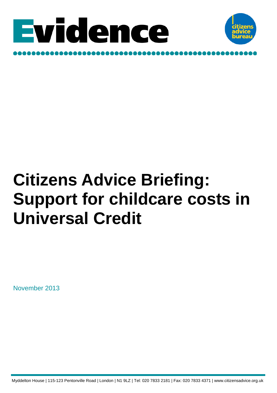



# **Citizens Advice Briefing: Support for childcare costs in Universal Credit**

November 2013

Myddelton House | 115-123 Pentonville Road | London | N1 9LZ | Tel: 020 7833 2181 | Fax: 020 7833 4371 | www.citizensadvice.org.uk: 7833 2181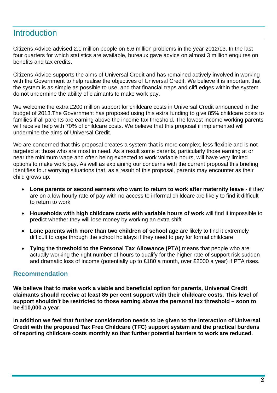# **Introduction**

Citizens Advice advised 2.1 million people on 6.6 million problems in the year 2012/13. In the last four quarters for which statistics are available, bureaux gave advice on almost 3 million enquires on benefits and tax credits.

Citizens Advice supports the aims of Universal Credit and has remained actively involved in working with the Government to help realise the objectives of Universal Credit. We believe it is important that the system is as simple as possible to use, and that financial traps and cliff edges within the system do not undermine the ability of claimants to make work pay.

We welcome the extra £200 million support for childcare costs in Universal Credit announced in the budget of 2013.The Government has proposed using this extra funding to give 85% childcare costs to families if all parents are earning above the income tax threshold. The lowest income working parents will receive help with 70% of childcare costs. We believe that this proposal if implemented will undermine the aims of Universal Credit.

We are concerned that this proposal creates a system that is more complex, less flexible and is not targeted at those who are most in need. As a result some parents, particularly those earning at or near the minimum wage and often being expected to work variable hours, will have very limited options to make work pay. As well as explaining our concerns with the current proposal this briefing identifies four worrying situations that, as a result of this proposal, parents may encounter as their child grows up:

- **Lone parents or second earners who want to return to work after maternity leave** if they are on a low hourly rate of pay with no access to informal childcare are likely to find it difficult to return to work
- **Households with high childcare costs with variable hours of work** will find it impossible to predict whether they will lose money by working an extra shift
- **Lone parents with more than two children of school age** are likely to find it extremely difficult to cope through the school holidays if they need to pay for formal childcare
- **Tying the threshold to the Personal Tax Allowance (PTA)** means that people who are actually working the right number of hours to qualify for the higher rate of support risk sudden and dramatic loss of income (potentially up to £180 a month, over £2000 a year) if PTA rises.

# **Recommendation**

**We believe that to make work a viable and beneficial option for parents, Universal Credit claimants should receive at least 85 per cent support with their childcare costs. This level of support shouldn't be restricted to those earning above the personal tax threshold – soon to be £10,000 a year.** 

**In addition we feel that further consideration needs to be given to the interaction of Universal Credit with the proposed Tax Free Childcare (TFC) support system and the practical burdens of reporting childcare costs monthly so that further potential barriers to work are reduced.**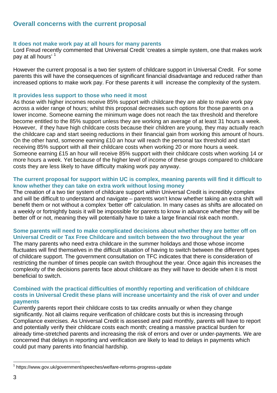# **Overall concerns with the current proposal**

#### **It does not make work pay at all hours for many parents**

Lord Freud recently commented that Universal Credit 'creates a simple system, one that makes work pay at all hours' 1

However the current proposal is a two tier system of childcare support in Universal Credit. For some parents this will have the consequences of significant financial disadvantage and reduced rather than increased options to make work pay. For these parents it will increase the complexity of the system.

#### **It provides less support to those who need it most**

As those with higher incomes receive 85% support with childcare they are able to make work pay across a wider range of hours; whilst this proposal decreases such options for those parents on a lower income. Someone earning the minimum wage does not reach the tax threshold and therefore become entitled to the 85% support unless they are working an average of at least 31 hours a week. However, if they have high childcare costs because their children are young, they may actually reach the childcare cap and start seeing reductions in their financial gain from working this amount of hours. On the other hand, someone earning £10 an hour will reach the personal tax threshold and start receiving 85% support with all their childcare costs when working 20 or more hours a week. Someone earning £15 an hour will receive 85% support with their childcare costs when working 14 or more hours a week. Yet because of the higher level of income of these groups compared to childcare costs they are less likely to have difficulty making work pay anyway.

#### **The current proposal for support within UC is complex, meaning parents will find it difficult to know whether they can take on extra work without losing money**

The creation of a two tier system of childcare support within Universal Credit is incredibly complex and will be difficult to understand and navigate – parents won't know whether taking an extra shift will benefit them or not without a complex 'better off' calculation. In many cases as shifts are allocated on a weekly or fortnightly basis it will be impossible for parents to know in advance whether they will be better off or not, meaning they will potentially have to take a large financial risk each month.

## **Some parents will need to make complicated decisions about whether they are better off on Universal Credit or Tax Free Childcare and switch between the two throughout the year**

The many parents who need extra childcare in the summer holidays and those whose income fluctuates will find themselves in the difficult situation of having to switch between the different types of childcare support. The government consultation on TFC indicates that there is consideration of restricting the number of times people can switch throughout the year. Once again this increases the complexity of the decisions parents face about childcare as they will have to decide when it is most beneficial to switch.

#### **Combined with the practical difficulties of monthly reporting and verification of childcare costs in Universal Credit these plans will increase uncertainty and the risk of over and under payments**

Currently parents report their childcare costs to tax credits annually or when they change significantly. Not all claims require verification of childcare costs but this is increasing through Compliance exercises. As Universal Credit is assessed and paid monthly, parents will have to report and potentially verify their childcare costs each month; creating a massive practical burden for already time-stretched parents and increasing the risk of errors and over or under-payments. We are concerned that delays in reporting and verification are likely to lead to delays in payments which could put many parents into financial hardship.

l

<sup>1</sup> https://www.gov.uk/government/speeches/welfare-reforms-progress-update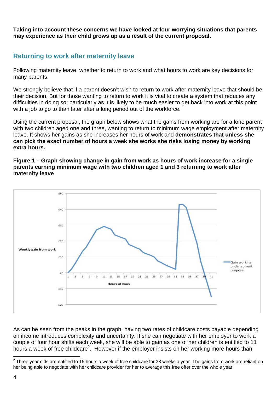**Taking into account these concerns we have looked at four worrying situations that parents may experience as their child grows up as a result of the current proposal.** 

# **Returning to work after maternity leave**

Following maternity leave, whether to return to work and what hours to work are key decisions for many parents.

We strongly believe that if a parent doesn't wish to return to work after maternity leave that should be their decision. But for those wanting to return to work it is vital to create a system that reduces any difficulties in doing so; particularly as it is likely to be much easier to get back into work at this point with a job to go to than later after a long period out of the workforce.

Using the current proposal, the graph below shows what the gains from working are for a lone parent with two children aged one and three, wanting to return to minimum wage employment after maternity leave. It shows her gains as she increases her hours of work and **demonstrates that unless she can pick the exact number of hours a week she works she risks losing money by working extra hours.**

#### **Figure 1 – Graph showing change in gain from work as hours of work increase for a single parents earning minimum wage with two children aged 1 and 3 returning to work after maternity leave**



As can be seen from the peaks in the graph, having two rates of childcare costs payable depending on income introduces complexity and uncertainty. If she can negotiate with her employer to work a couple of four hour shifts each week, she will be able to gain as one of her children is entitled to 11 hours a week of free childcare<sup>2</sup>. However if the employer insists on her working more hours than

l  $^2$  Three year olds are entitled to 15 hours a week of free childcare for 38 weeks a year. The gains from work are reliant on her being able to negotiate with her childcare provider for her to average this free offer over the whole year.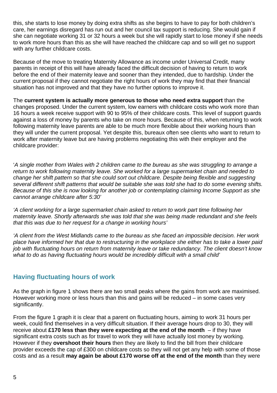this, she starts to lose money by doing extra shifts as she begins to have to pay for both children's care, her earnings disregard has run out and her council tax support is reducing. She would gain if she can negotiate working 31 or 32 hours a week but she will rapidly start to lose money if she needs to work more hours than this as she will have reached the childcare cap and so will get no support with any further childcare costs.

Because of the move to treating Maternity Allowance as income under Universal Credit, many parents in receipt of this will have already faced the difficult decision of having to return to work before the end of their maternity leave and sooner than they intended, due to hardship. Under the current proposal if they cannot negotiate the right hours of work they may find that their financial situation has not improved and that they have no further options to improve it.

The **current system is actually more generous to those who need extra support** than the changes proposed. Under the current system, low earners with childcare costs who work more than 16 hours a week receive support with 90 to 95% of their childcare costs. This level of support guards against a loss of money by parents who take on more hours. Because of this, when returning to work following maternity leave parents are able to be much more flexible about their working hours than they will under the current proposal. Yet despite this, bureaux often see clients who want to return to work after maternity leave but are having problems negotiating this with their employer and the childcare provider:

'*A single mother from Wales with 2 children came to the bureau as she was struggling to arrange a return to work following maternity leave. She worked for a large supermarket chain and needed to change her shift pattern so that she could sort out childcare. Despite being flexible and suggesting several different shift patterns that would be suitable she was told she had to do some evening shifts. Because of this she is now looking for another job or contemplating claiming Income Support as she cannot arrange childcare after 5:30'* 

*'A client working for a large supermarket chain asked to return to work part time following her maternity leave. Shortly afterwards she was told that she was being made redundant and she feels that this was due to her request for a change in working hours'* 

*'A client from the West Midlands came to the bureau as she faced an impossible decision. Her work place have informed her that due to restructuring in the workplace she either has to take a lower paid job with fluctuating hours on return from maternity leave or take redundancy. The client doesn't know what to do as having fluctuating hours would be incredibly difficult with a small child'* 

## **Having fluctuating hours of work**

As the graph in figure 1 shows there are two small peaks where the gains from work are maximised. However working more or less hours than this and gains will be reduced – in some cases very significantly.

From the figure 1 graph it is clear that a parent on fluctuating hours, aiming to work 31 hours per week, could find themselves in a very difficult situation. If their average hours drop to 30, they will receive about **£170 less than they were expecting at the end of the month** – if they have significant extra costs such as for travel to work they will have actually lost money by working. However if they **overshoot their hours** then they are likely to find the bill from their childcare provider exceeds the cap of £300 on childcare costs so they will not get any help with some of those costs and as a result **may again be about £170 worse off at the end of the month** than they were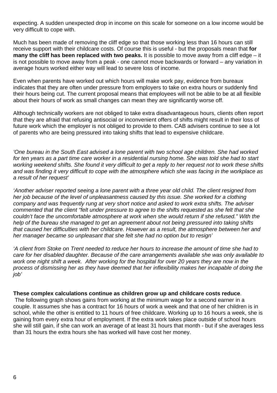expecting. A sudden unexpected drop in income on this scale for someone on a low income would be very difficult to cope with.

Much has been made of removing the cliff edge so that those working less than 16 hours can still receive support with their childcare costs. Of course this is useful - but the proposals mean that **for many the cliff has been replaced with two peaks.** It is possible to move away from a cliff edge – it is not possible to move away from a peak - one cannot move backwards or forward – any variation in average hours worked either way will lead to severe loss of income.

Even when parents have worked out which hours will make work pay, evidence from bureaux indicates that they are often under pressure from employers to take on extra hours or suddenly find their hours being cut. The current proposal means that employees will not be able to be at all flexible about their hours of work as small changes can mean they are significantly worse off.

Although technically workers are not obliged to take extra disadvantageous hours, clients often report that they are afraid that refusing antisocial or inconvenient offers of shifts might result in their loss of future work which the employer is not obliged to provide to them. CAB advisers continue to see a lot of parents who are being pressured into taking shifts that lead to expensive childcare.

*'One bureau in the South East advised a lone parent with two school age children. She had worked*  for ten years as a part time care worker in a residential nursing home. She was told she had to start *working weekend shifts. She found it very difficult to get a reply to her request not to work these shifts and was finding it very difficult to cope with the atmosphere which she was facing in the workplace as a result of her request'* 

*'Another adviser reported seeing a lone parent with a three year old child. The client resigned from her job because of the level of unpleasantness caused by this issue. She worked for a clothing company and was frequently rung at very short notice and asked to work extra shifts. The adviser commented that the client "felt under pressure to agree to the shifts requested as she felt that she couldn't face the uncomfortable atmosphere at work when she would return if she refused." With the help of the bureau she managed to get an agreement about not being pressured into taking shifts that caused her difficulties with her childcare. However as a result, the atmosphere between her and her manager became so unpleasant that she felt she had no option but to resign'*

*'A client from Stoke on Trent needed to reduce her hours to increase the amount of time she had to care for her disabled daughter. Because of the care arrangements available she was only available to work one night shift a week. After working for the hospital for over 20 years they are now in the process of dismissing her as they have deemed that her inflexibility makes her incapable of doing the job'* 

#### **These complex calculations continue as children grow up and childcare costs reduce**.

 The following graph shows gains from working at the minimum wage for a second earner in a couple. It assumes she has a contract for 16 hours of work a week and that one of her children is in school, while the other is entitled to 11 hours of free childcare. Working up to 16 hours a week, she is gaining from every extra hour of employment. If the extra work takes place outside of school hours she will still gain, if she can work an average of at least 31 hours that month - but if she averages less than 31 hours the extra hours she has worked will have cost her money.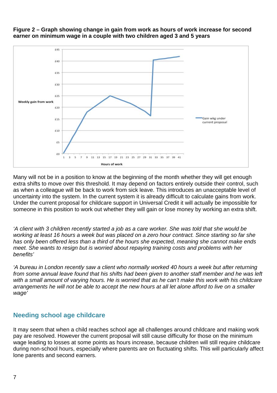

#### **Figure 2 – Graph showing change in gain from work as hours of work increase for second earner on minimum wage in a couple with two children aged 3 and 5 years**

Many will not be in a position to know at the beginning of the month whether they will get enough extra shifts to move over this threshold. It may depend on factors entirely outside their control, such as when a colleague will be back to work from sick leave. This introduces an unacceptable level of uncertainty into the system. In the current system it is already difficult to calculate gains from work. Under the current proposal for childcare support in Universal Credit it will actually be impossible for someone in this position to work out whether they will gain or lose money by working an extra shift.

*'A client with 3 children recently started a job as a care worker. She was told that she would be working at least 16 hours a week but was placed on a zero hour contract. Since starting so far she has only been offered less than a third of the hours she expected, meaning she cannot make ends meet. She wants to resign but is worried about repaying training costs and problems with her benefits'* 

*'A bureau in London recently saw a client who normally worked 40 hours a week but after returning from some annual leave found that his shifts had been given to another staff member and he was left*  with a small amount of varying hours. He is worried that as he can't make this work with his childcare *arrangements he will not be able to accept the new hours at all let alone afford to live on a smaller wage'* 

# **Needing school age childcare**

It may seem that when a child reaches school age all challenges around childcare and making work pay are resolved. However the current proposal will still cause difficulty for those on the minimum wage leading to losses at some points as hours increase, because children will still require childcare during non-school hours, especially where parents are on fluctuating shifts. This will particularly affect lone parents and second earners.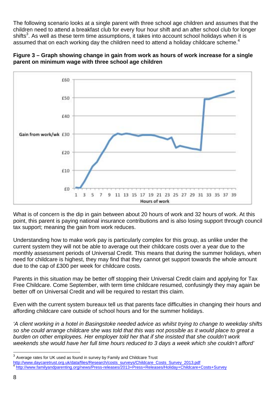The following scenario looks at a single parent with three school age children and assumes that the children need to attend a breakfast club for every four hour shift and an after school club for longer shifts<sup>3</sup>. As well as these term time assumptions, it takes into account school holidays when it is assumed that on each working day the children need to attend a holiday childcare scheme.<sup>4</sup>



**Figure 3 – Graph showing change in gain from work as hours of work increase for a single parent on minimum wage with three school age children** 

What is of concern is the dip in gain between about 20 hours of work and 32 hours of work. At this point, this parent is paying national insurance contributions and is also losing support through council tax support; meaning the gain from work reduces.

Understanding how to make work pay is particularly complex for this group, as unlike under the current system they will not be able to average out their childcare costs over a year due to the monthly assessment periods of Universal Credit. This means that during the summer holidays, when need for childcare is highest, they may find that they cannot get support towards the whole amount due to the cap of £300 per week for childcare costs.

Parents in this situation may be better off stopping their Universal Credit claim and applying for Tax Free Childcare. Come September, with term time childcare resumed, confusingly they may again be better off on Universal Credit and will be required to restart this claim.

Even with the current system bureaux tell us that parents face difficulties in changing their hours and affording childcare care outside of school hours and for the summer holidays.

*'A client working in a hotel in Basingstoke needed advice as whilst trying to change to weekday shifts so she could arrange childcare she was told that this was not possible as it would place to great a burden on other employees. Her employer told her that if she insisted that she couldn't work weekends she would have her full time hours reduced to 3 days a week which she couldn't afford'* 

<sup>3</sup> Average rates for UK used as found in survey by Family and Childcare Trust

http://www.daycaretrust.org.uk/data/files/Research/costs\_surveys/Childcare\_Costs\_Survey\_2013.pdf <sup>4</sup> http://www.familyandparenting.org/news/Press-releases/2013+Press+Releases/Holiday+Childcare+Costs+Survey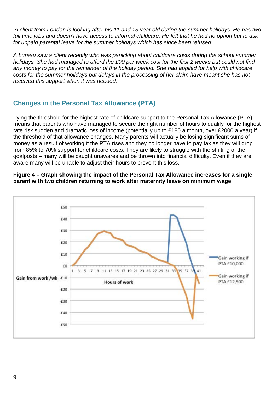*'A client from London is looking after his 11 and 13 year old during the summer holidays. He has two full time jobs and doesn't have access to informal childcare. He felt that he had no option but to ask for unpaid parental leave for the summer holidays which has since been refused'* 

*A bureau saw a client recently who was panicking about childcare costs during the school summer holidays. She had managed to afford the £90 per week cost for the first 2 weeks but could not find any money to pay for the remainder of the holiday period. She had applied for help with childcare costs for the summer holidays but delays in the processing of her claim have meant she has not received this support when it was needed.* 

# **Changes in the Personal Tax Allowance (PTA)**

Tying the threshold for the highest rate of childcare support to the Personal Tax Allowance (PTA) means that parents who have managed to secure the right number of hours to qualify for the highest rate risk sudden and dramatic loss of income (potentially up to £180 a month, over £2000 a year) if the threshold of that allowance changes. Many parents will actually be losing significant sums of money as a result of working if the PTA rises and they no longer have to pay tax as they will drop from 85% to 70% support for childcare costs. They are likely to struggle with the shifting of the goalposts – many will be caught unawares and be thrown into financial difficulty. Even if they are aware many will be unable to adjust their hours to prevent this loss.



#### **Figure 4 – Graph showing the impact of the Personal Tax Allowance increases for a single parent with two children returning to work after maternity leave on minimum wage**